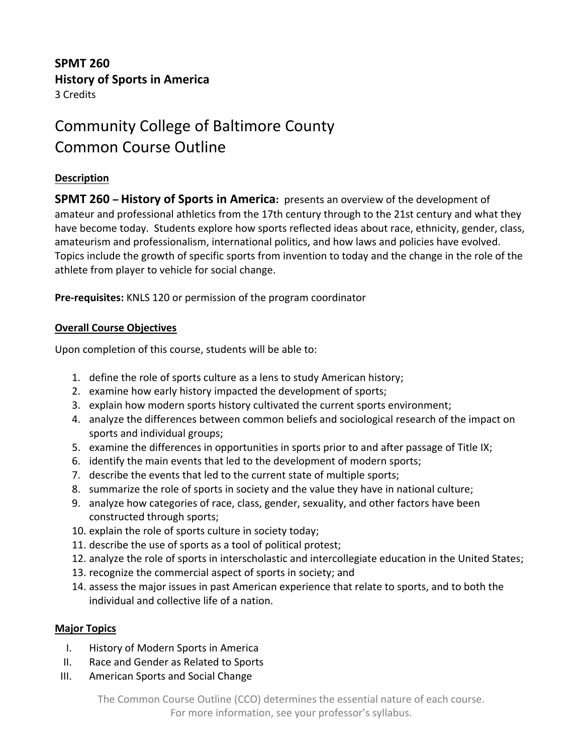## **SPMT 260 History of Sports in America** 3 Credits

# Community College of Baltimore County Common Course Outline

## **Description**

**SPMT 260 – History of Sports in America:** presents an overview of the development of amateur and professional athletics from the 17th century through to the 21st century and what they have become today. Students explore how sports reflected ideas about race, ethnicity, gender, class, amateurism and professionalism, international politics, and how laws and policies have evolved. Topics include the growth of specific sports from invention to today and the change in the role of the athlete from player to vehicle for social change.

**Pre-requisites:** KNLS 120 or permission of the program coordinator

### **Overall Course Objectives**

Upon completion of this course, students will be able to:

- 1. define the role of sports culture as a lens to study American history;
- 2. examine how early history impacted the development of sports;
- 3. explain how modern sports history cultivated the current sports environment;
- 4. analyze the differences between common beliefs and sociological research of the impact on sports and individual groups;
- 5. examine the differences in opportunities in sports prior to and after passage of Title IX;
- 6. identify the main events that led to the development of modern sports;
- 7. describe the events that led to the current state of multiple sports;
- 8. summarize the role of sports in society and the value they have in national culture;
- 9. analyze how categories of race, class, gender, sexuality, and other factors have been constructed through sports;
- 10. explain the role of sports culture in society today;
- 11. describe the use of sports as a tool of political protest;
- 12. analyze the role of sports in interscholastic and intercollegiate education in the United States;
- 13. recognize the commercial aspect of sports in society; and
- 14. assess the major issues in past American experience that relate to sports, and to both the individual and collective life of a nation.

### **Major Topics**

- I. History of Modern Sports in America
- II. Race and Gender as Related to Sports
- III. American Sports and Social Change

The Common Course Outline (CCO) determines the essential nature of each course. For more information, see your professor's syllabus.